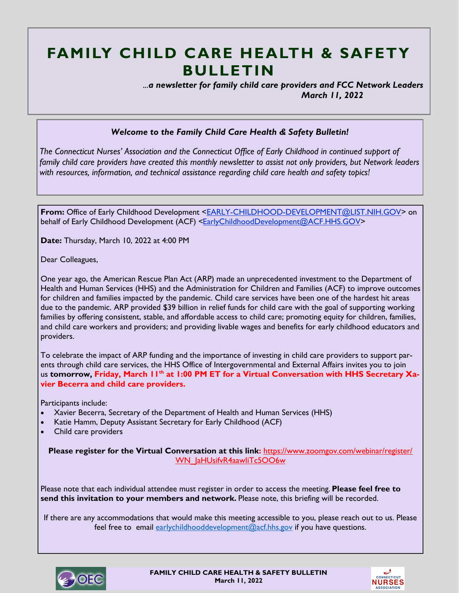## **FAMILY CHILD CARE HEALTH & SAFETY BULLETIN**

 *...a newsletter for family child care providers and FCC Network Leaders March 11, 2022*

## *Welcome to the Family Child Care Health & Safety Bulletin!*

*The Connecticut Nurses' Association and the Connecticut Office of Early Childhood in continued support of family child care providers have created this monthly newsletter to assist not only providers, but Network leaders with resources, information, and technical assistance regarding child care health and safety topics!* 

**From:** Office of Early Childhood Development <[EARLY-CHILDHOOD-DEVELOPMENT@LIST.NIH.GOV>](mailto:EARLY-CHILDHOOD-DEVELOPMENT@LIST.NIH.GOV) on behalf of Early Childhood Development (ACF) [<EarlyChildhoodDevelopment@ACF.HHS.GOV>](mailto:EarlyChildhoodDevelopment@ACF.HHS.GOV)

**Date:** Thursday, March 10, 2022 at 4:00 PM

Dear Colleagues,

One year ago, the American Rescue Plan Act (ARP) made an unprecedented investment to the Department of Health and Human Services (HHS) and the Administration for Children and Families (ACF) to improve outcomes for children and families impacted by the pandemic. Child care services have been one of the hardest hit areas due to the pandemic. ARP provided \$39 billion in relief funds for child care with the goal of supporting working families by offering consistent, stable, and affordable access to child care; promoting equity for children, families, and child care workers and providers; and providing livable wages and benefits for early childhood educators and providers.

To celebrate the impact of ARP funding and the importance of investing in child care providers to support parents through child care services, the HHS Office of Intergovernmental and External Affairs invites you to join us **tomorrow, Friday, March 11th at 1:00 PM ET for a Virtual Conversation with HHS Secretary Xavier Becerra and child care providers.**

Participants include:

- Xavier Becerra, Secretary of the Department of Health and Human Services (HHS)
- Katie Hamm, Deputy Assistant Secretary for Early Childhood (ACF)
- Child care providers

**Please register for the Virtual Conversation at this link: [https://www.zoomgov.com/webinar/register/](https://urldefense.com/v3/__https:/www.zoomgov.com/webinar/register/WN_JaHUsifvR4aawIiTc5OO6w__;!!Azzr!J7QFMA8P_rRpU0JfR39XzzQQIf0f5HLwoO2dP3xY7LumGtd_s-5_RWphIIgw$)** WN\_JaHUsifvR4aawliTc5OO6w

Please note that each individual attendee must register in order to access the meeting. **Please feel free to send this invitation to your members and network.** Please note, this briefing will be recorded.

If there are any accommodations that would make this meeting accessible to you, please reach out to us. Please feel free to email [earlychildhooddevelopment@acf.hhs.gov](mailto:earlychildhooddevelopment@acf.hhs.gov) if you have questions.